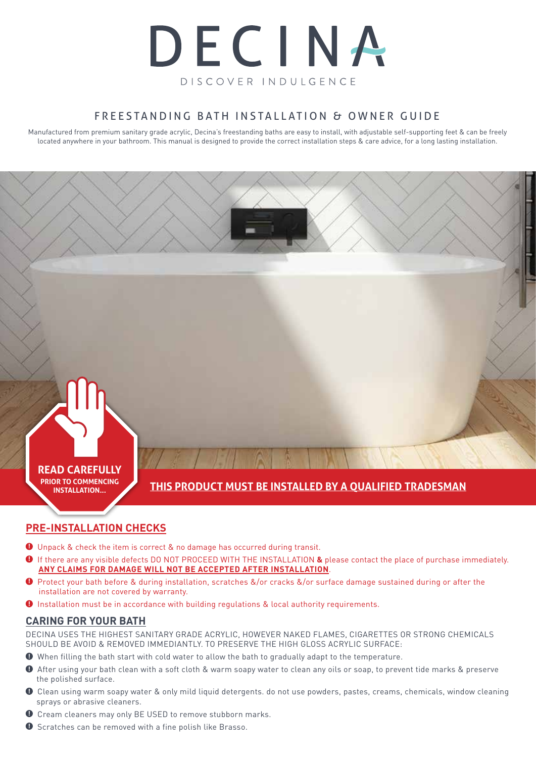

### FREESTANDING BATH INSTALLATION & OWNER GUIDE

Manufactured from premium sanitary grade acrylic, Decina's freestanding baths are easy to install, with adjustable self-supporting feet & can be freely located anywhere in your bathroom. This manual is designed to provide the correct installation steps & care advice, for a long lasting installation.

# **READ CAREFULLY**

**PRIOR TO COMMENCING INSTALLATION...**

# **THIS PRODUCT MUST BE INSTALLED BY A QUALIFIED TRADESMAN**

# **PRE-INSTALLATION CHECKS**

- **1** Unpack & check the item is correct & no damage has occurred during transit.
- **!** If there are any visible defects DO NOT PROCEED WITH THE INSTALLATION **&** please contact the place of purchase immediately. **ANY CLAIMS FOR DAMAGE WILL NOT BE ACCEPTED AFTER INSTALLATION**.
- **!** Protect your bath before & during installation, scratches &/or cracks &/or surface damage sustained during or after the installation are not covered by warranty.
- $\bullet$  Installation must be in accordance with building regulations & local authority requirements.

### **CARING FOR YOUR BATH**

DECINA USES THE HIGHEST SANITARY GRADE ACRYLIC, HOWEVER NAKED FLAMES, CIGARETTES OR STRONG CHEMICALS SHOULD BE AVOID & REMOVED IMMEDIANTLY. TO PRESERVE THE HIGH GLOSS ACRYLIC SURFACE:

- **!** When filling the bath start with cold water to allow the bath to gradually adapt to the temperature.
- **!** After using your bath clean with a soft cloth & warm soapy water to clean any oils or soap, to prevent tide marks & preserve the polished surface.
- **!** Clean using warm soapy water & only mild liquid detergents. do not use powders, pastes, creams, chemicals, window cleaning sprays or abrasive cleaners.
- **!** Cream cleaners may only BE USED to remove stubborn marks.
- **!** Scratches can be removed with a fine polish like Brasso.